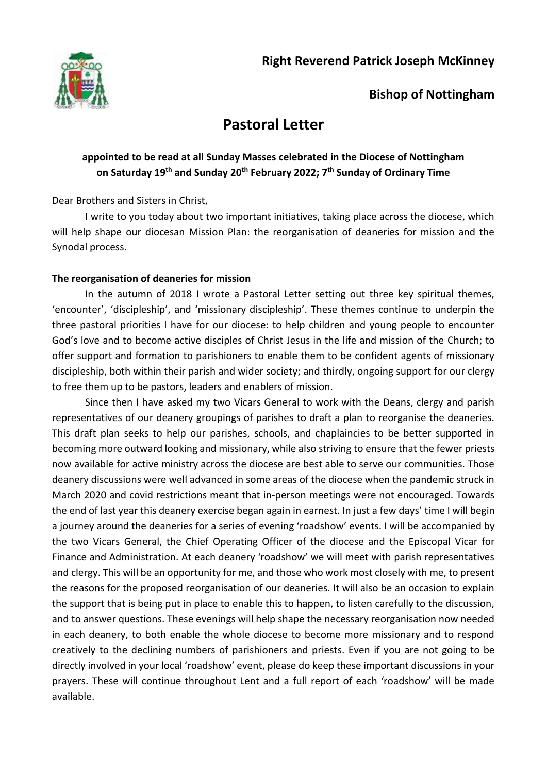

## **Bishop of Nottingham**

# **Pastoral Letter**

### **appointed to be read at all Sunday Masses celebrated in the Diocese of Nottingham on Saturday 19th and Sunday 20th February 2022; 7 th Sunday of Ordinary Time**

Dear Brothers and Sisters in Christ,

I write to you today about two important initiatives, taking place across the diocese, which will help shape our diocesan Mission Plan: the reorganisation of deaneries for mission and the Synodal process.

#### **The reorganisation of deaneries for mission**

In the autumn of 2018 I wrote a Pastoral Letter setting out three key spiritual themes, 'encounter', 'discipleship', and 'missionary discipleship'. These themes continue to underpin the three pastoral priorities I have for our diocese: to help children and young people to encounter God's love and to become active disciples of Christ Jesus in the life and mission of the Church; to offer support and formation to parishioners to enable them to be confident agents of missionary discipleship, both within their parish and wider society; and thirdly, ongoing support for our clergy to free them up to be pastors, leaders and enablers of mission.

Since then I have asked my two Vicars General to work with the Deans, clergy and parish representatives of our deanery groupings of parishes to draft a plan to reorganise the deaneries. This draft plan seeks to help our parishes, schools, and chaplaincies to be better supported in becoming more outward looking and missionary, while also striving to ensure that the fewer priests now available for active ministry across the diocese are best able to serve our communities. Those deanery discussions were well advanced in some areas of the diocese when the pandemic struck in March 2020 and covid restrictions meant that in-person meetings were not encouraged. Towards the end of last year this deanery exercise began again in earnest. In just a few days' time I will begin a journey around the deaneries for a series of evening 'roadshow' events. I will be accompanied by the two Vicars General, the Chief Operating Officer of the diocese and the Episcopal Vicar for Finance and Administration. At each deanery 'roadshow' we will meet with parish representatives and clergy. This will be an opportunity for me, and those who work most closely with me, to present the reasons for the proposed reorganisation of our deaneries. It will also be an occasion to explain the support that is being put in place to enable this to happen, to listen carefully to the discussion, and to answer questions. These evenings will help shape the necessary reorganisation now needed in each deanery, to both enable the whole diocese to become more missionary and to respond creatively to the declining numbers of parishioners and priests. Even if you are not going to be directly involved in your local 'roadshow' event, please do keep these important discussions in your prayers. These will continue throughout Lent and a full report of each 'roadshow' will be made available.